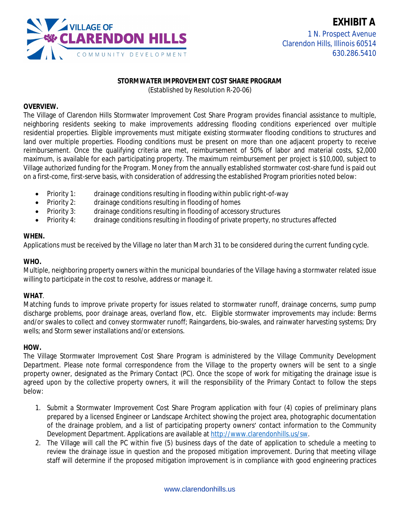

#### **STORMWATER IMPROVEMENT COST SHARE PROGRAM**

(Established by Resolution R-20-06)

#### **OVERVIEW.**

The Village of Clarendon Hills Stormwater Improvement Cost Share Program provides financial assistance to multiple, neighboring residents seeking to make improvements addressing flooding conditions experienced over multiple residential properties. Eligible improvements must mitigate existing stormwater flooding conditions to structures and land over multiple properties. Flooding conditions must be present on more than one adjacent property to receive reimbursement. Once the qualifying criteria are met, reimbursement of 50% of labor and material costs, \$2,000 maximum, is available for each participating property. The maximum reimbursement per project is \$10,000, subject to Village authorized funding for the Program. Money from the annually established stormwater cost-share fund is paid out on a first-come, first-serve basis, with consideration of addressing the established Program priorities noted below:

- Priority 1: drainage conditions resulting in flooding within public right-of-way
- Priority 2: drainage conditions resulting in flooding of homes
- Priority 3: drainage conditions resulting in flooding of accessory structures
- Priority 4: drainage conditions resulting in flooding of private property, no structures affected

### **WHEN.**

Applications must be received by the Village no later than March 31 to be considered during the current funding cycle.

### **WHO.**

Multiple, neighboring property owners within the municipal boundaries of the Village having a stormwater related issue willing to participate in the cost to resolve, address or manage it.

### **WHAT**.

Matching funds to improve private property for issues related to stormwater runoff, drainage concerns, sump pump discharge problems, poor drainage areas, overland flow, etc. Eligible stormwater improvements may include: Berms and/or swales to collect and convey stormwater runoff; Raingardens, bio-swales, and rainwater harvesting systems; Dry wells; and Storm sewer installations and/or extensions.

#### **HOW.**

The Village Stormwater Improvement Cost Share Program is administered by the Village Community Development Department. Please note formal correspondence from the Village to the property owners will be sent to a single property owner, designated as the Primary Contact (PC). Once the scope of work for mitigating the drainage issue is agreed upon by the collective property owners, it will the responsibility of the Primary Contact to follow the steps below:

- 1. Submit a Stormwater Improvement Cost Share Program application with four (4) copies of preliminary plans prepared by a licensed Engineer or Landscape Architect showing the project area, photographic documentation of the drainage problem, and a list of participating property owners' contact information to the Community Development Department. Applications are available at <http://www.clarendonhills.us/sw>.
- 2. The Village will call the PC within five (5) business days of the date of application to schedule a meeting to review the drainage issue in question and the proposed mitigation improvement. During that meeting village staff will determine if the proposed mitigation improvement is in compliance with good engineering practices